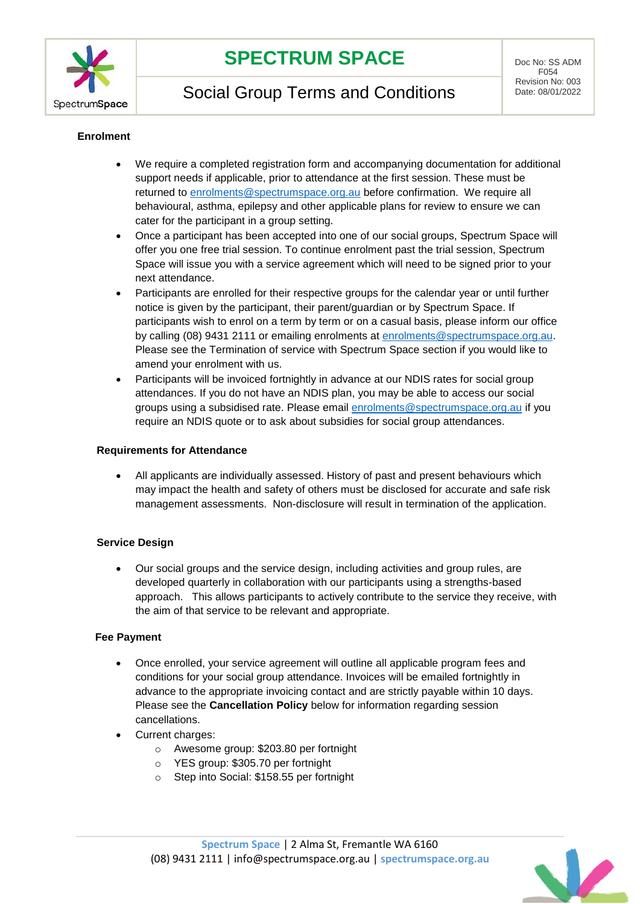

# **SPECTRUM SPACE** DOC NO: SS ADM

Social Group Terms and Conditions

F054 Revision No: 003<br>Date: 08/01/2022

### **Enrolment**

- We require a completed registration form and accompanying documentation for additional support needs if applicable, prior to attendance at the first session. These must be returned to [enrolments@spectrumspace.org.au](mailto:enrolments@spectrumspace.org.au) before confirmation. We require all behavioural, asthma, epilepsy and other applicable plans for review to ensure we can cater for the participant in a group setting.
- Once a participant has been accepted into one of our social groups, Spectrum Space will offer you one free trial session. To continue enrolment past the trial session, Spectrum Space will issue you with a service agreement which will need to be signed prior to your next attendance.
- Participants are enrolled for their respective groups for the calendar year or until further notice is given by the participant, their parent/guardian or by Spectrum Space. If participants wish to enrol on a term by term or on a casual basis, please inform our office by calling (08) 9431 2111 or emailing enrolments at [enrolments@spectrumspace.org.au.](mailto:enrolments@spectrumspace.org.au) Please see the Termination of service with Spectrum Space section if you would like to amend your enrolment with us.
- Participants will be invoiced fortnightly in advance at our NDIS rates for social group attendances. If you do not have an NDIS plan, you may be able to access our social groups using a subsidised rate. Please email [enrolments@spectrumspace.org.au](mailto:enrolments@spectrumspace.org.au) if you require an NDIS quote or to ask about subsidies for social group attendances.

#### **Requirements for Attendance**

• All applicants are individually assessed. History of past and present behaviours which may impact the health and safety of others must be disclosed for accurate and safe risk management assessments. Non-disclosure will result in termination of the application.

### **Service Design**

• Our social groups and the service design, including activities and group rules, are developed quarterly in collaboration with our participants using a strengths-based approach. This allows participants to actively contribute to the service they receive, with the aim of that service to be relevant and appropriate.

### **Fee Payment**

- Once enrolled, your service agreement will outline all applicable program fees and conditions for your social group attendance. Invoices will be emailed fortnightly in advance to the appropriate invoicing contact and are strictly payable within 10 days. Please see the **Cancellation Policy** below for information regarding session cancellations.
- Current charges:
	- o Awesome group: \$203.80 per fortnight
	- o YES group: \$305.70 per fortnight
	- o Step into Social: \$158.55 per fortnight